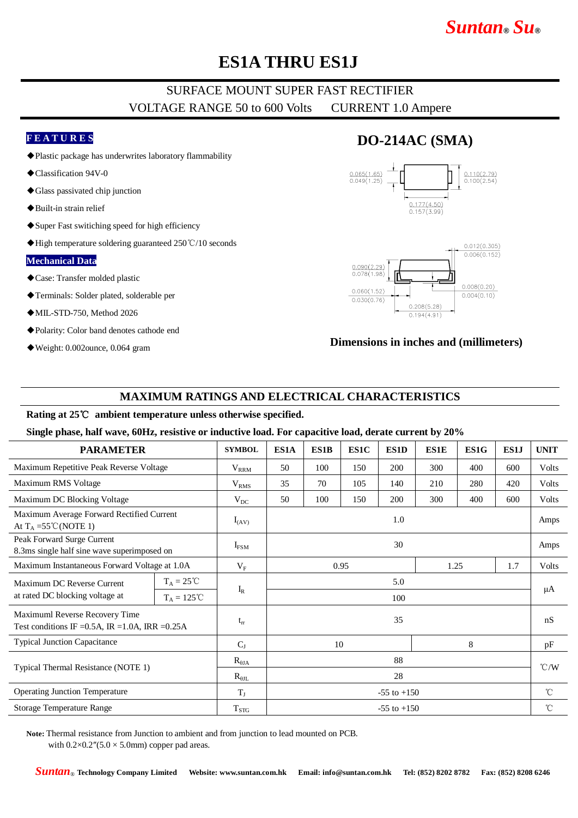# *Suntan***®** *Su***®**

## **ES1A THRU ES1J**

### SURFACE MOUNT SUPER FAST RECTIFIER VOLTAGE RANGE 50 to 600 Volts CURRENT 1.0 Ampere

#### **F E A T U R E S**

- ◆Plastic package has underwrites laboratory flammability
- ◆Classification 94V-0
- ◆Glass passivated chip junction
- ◆Built-in strain relief
- ◆Super Fast switiching speed for high efficiency
- ◆High temperature soldering guaranteed 250℃/10 seconds

#### **Mechanical Data**

- ◆Case: Transfer molded plastic
- ◆Terminals: Solder plated, solderable per
- ◆MIL-STD-750, Method 2026
- ◆Polarity: Color band denotes cathode end
- ◆Weight: 0.002ounce, 0.064 gram

## **DO-214AC (SMA)**





### **Dimensions in inches and (millimeters)**

### **MAXIMUM RATINGS AND ELECTRICAL CHARACTERISTICS**

#### **Rating at 25**℃ **ambient temperature unless otherwise specified.**

#### **Single phase, half wave, 60Hz, resistive or inductive load. For capacitive load, derate current by 20%**

| <b>PARAMETER</b>                                                                      |                      | <b>SYMBOL</b>   | ES1A                | ES1B | ES1C | ES1D | <b>ES1E</b> | ES1G | ES1J         | <b>UNIT</b>        |
|---------------------------------------------------------------------------------------|----------------------|-----------------|---------------------|------|------|------|-------------|------|--------------|--------------------|
| Maximum Repetitive Peak Reverse Voltage                                               |                      | $V_{RRM}$       | 50                  | 100  | 150  | 200  | 300         | 400  | 600          | Volts              |
| Maximum RMS Voltage                                                                   |                      | $V_{RMS}$       | 35                  | 70   | 105  | 140  | 210         | 280  | 420          | Volts              |
| Maximum DC Blocking Voltage                                                           |                      | $V_{DC}$        | 50                  | 100  | 150  | 200  | 300         | 400  | 600          | Volts              |
| Maximum Average Forward Rectified Current<br>At $T_A = 55^{\circ}C(NOTE 1)$           |                      | $I_{(AV)}$      | 1.0                 |      |      |      |             |      |              | Amps               |
| Peak Forward Surge Current<br>8.3ms single half sine wave superimposed on             |                      | $I_{FSM}$       | 30                  |      |      |      |             |      | Amps         |                    |
| Maximum Instantaneous Forward Voltage at 1.0A                                         |                      | $V_{F}$         | 1.7<br>0.95<br>1.25 |      |      |      |             |      | <b>Volts</b> |                    |
| Maximum DC Reverse Current<br>at rated DC blocking voltage at                         | $T_A = 25^{\circ}C$  | $I_R$           | 5.0                 |      |      |      |             |      |              | μA                 |
|                                                                                       | $T_A = 125^{\circ}C$ |                 | 100                 |      |      |      |             |      |              |                    |
| Maximuml Reverse Recovery Time<br>Test conditions IF = 0.5A, IR = 1.0A, IRR = $0.25A$ |                      | $t_{rr}$        | 35                  |      |      |      |             |      |              | nS                 |
| <b>Typical Junction Capacitance</b>                                                   |                      | $C_{J}$         | $\,8\,$<br>10       |      |      |      |             |      | pF           |                    |
| Typical Thermal Resistance (NOTE 1)                                                   |                      | $R_{\theta JA}$ | 88                  |      |      |      |             |      |              | $\rm ^{\circ}$ C/W |
|                                                                                       |                      | $R_{\theta IL}$ | 28                  |      |      |      |             |      |              |                    |
| <b>Operating Junction Temperature</b>                                                 |                      | $T_{J}$         | $-55$ to $+150$     |      |      |      |             |      |              | $^{\circ}$ C       |
| Storage Temperature Range                                                             |                      | $T_{STG}$       | $-55$ to $+150$     |      |      |      |             |      |              | $^{\circ}$ C       |

**Note:** Thermal resistance from Junction to ambient and from junction to lead mounted on PCB. with  $0.2 \times 0.2''(5.0 \times 5.0 \text{mm})$  copper pad areas.